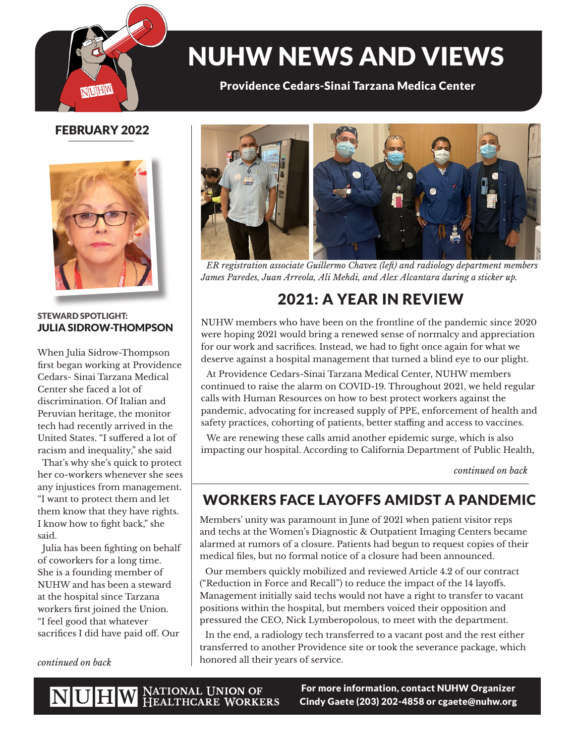

# NUHW NEWS AND VIEWS

Providence Cedars-Sinai Tarzana Medica Center

### FEBRUARY 2022



#### STEWARD SPOTLIGHT: JULIA SIDROW-THOMPSON

When Julia Sidrow-Thompson first began working at Providence Cedars- Sinai Tarzana Medical Center she faced a lot of discrimination. Of Italian and Peruvian heritage, the monitor tech had recently arrived in the United States. "I suffered a lot of racism and inequality," she said

 That's why she's quick to protect her co-workers whenever she sees any injustices from management. "I want to protect them and let them know that they have rights. I know how to fight back," she said.

 Julia has been fighting on behalf of coworkers for a long time. She is a founding member of NUHW and has been a steward at the hospital since Tarzana workers first joined the Union. "I feel good that whatever sacrifices I did have paid off. Our



*ER registration associate Guillermo Chavez (left) and radiology department members James Paredes, Juan Arreola, Ali Mehdi, and Alex Alcantara during a sticker up.*

# 2021: A YEAR IN REVIEW

NUHW members who have been on the frontline of the pandemic since 2020 were hoping 2021 would bring a renewed sense of normalcy and appreciation for our work and sacrifices. Instead, we had to fight once again for what we deserve against a hospital management that turned a blind eye to our plight.

At Providence Cedars-Sinai Tarzana Medical Center, NUHW members continued to raise the alarm on COVID-19. Throughout 2021, we held regular calls with Human Resources on how to best protect workers against the pandemic, advocating for increased supply of PPE, enforcement of health and safety practices, cohorting of patients, better staffing and access to vaccines.

We are renewing these calls amid another epidemic surge, which is also impacting our hospital. According to California Department of Public Health,

*continued on back*

## WORKERS FACE LAYOFFS AMIDST A PANDEMIC

Members' unity was paramount in June of 2021 when patient visitor reps and techs at the Women's Diagnostic & Outpatient Imaging Centers became alarmed at rumors of a closure. Patients had begun to request copies of their medical files, but no formal notice of a closure had been announced.

Our members quickly mobilized and reviewed Article 4.2 of our contract ("Reduction in Force and Recall") to reduce the impact of the 14 layoffs. Management initially said techs would not have a right to transfer to vacant positions within the hospital, but members voiced their opposition and pressured the CEO, Nick Lymberopolous, to meet with the department.

In the end, a radiology tech transferred to a vacant post and the rest either transferred to another Providence site or took the severance package, which honored all their years of service. *continued on back*

NUHW NATIONAL UNION OF HEALTHCARE WORKERS

For more information, contact NUHW Organizer Cindy Gaete (203) 202-4858 or cgaete@nuhw.org